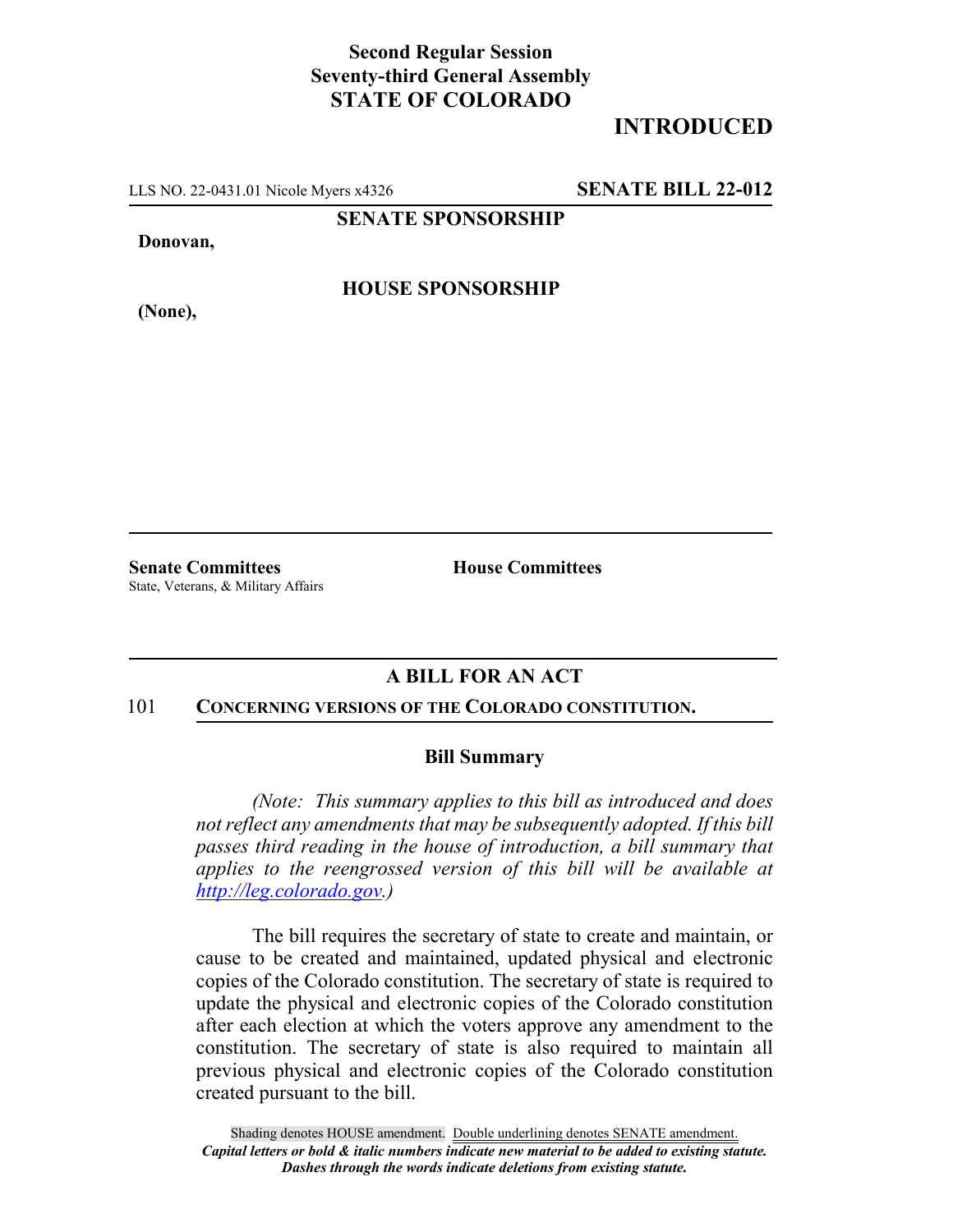## **Second Regular Session Seventy-third General Assembly STATE OF COLORADO**

# **INTRODUCED**

LLS NO. 22-0431.01 Nicole Myers x4326 **SENATE BILL 22-012**

**SENATE SPONSORSHIP**

**Donovan,**

**(None),**

**HOUSE SPONSORSHIP**

State, Veterans, & Military Affairs

**Senate Committees House Committees** 

### **A BILL FOR AN ACT**

#### 101 **CONCERNING VERSIONS OF THE COLORADO CONSTITUTION.**

#### **Bill Summary**

*(Note: This summary applies to this bill as introduced and does not reflect any amendments that may be subsequently adopted. If this bill passes third reading in the house of introduction, a bill summary that applies to the reengrossed version of this bill will be available at http://leg.colorado.gov.)*

The bill requires the secretary of state to create and maintain, or cause to be created and maintained, updated physical and electronic copies of the Colorado constitution. The secretary of state is required to update the physical and electronic copies of the Colorado constitution after each election at which the voters approve any amendment to the constitution. The secretary of state is also required to maintain all previous physical and electronic copies of the Colorado constitution created pursuant to the bill.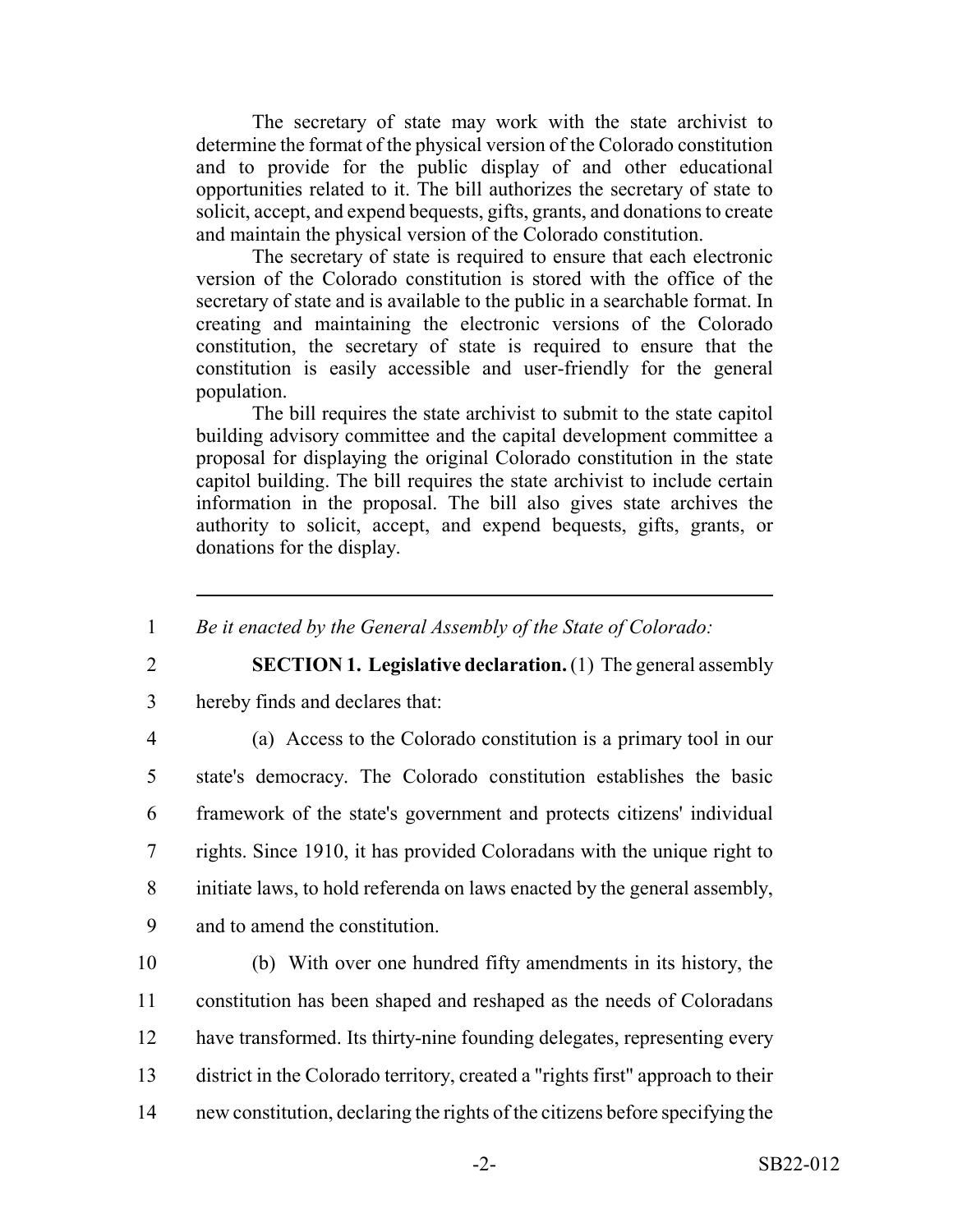The secretary of state may work with the state archivist to determine the format of the physical version of the Colorado constitution and to provide for the public display of and other educational opportunities related to it. The bill authorizes the secretary of state to solicit, accept, and expend bequests, gifts, grants, and donations to create and maintain the physical version of the Colorado constitution.

The secretary of state is required to ensure that each electronic version of the Colorado constitution is stored with the office of the secretary of state and is available to the public in a searchable format. In creating and maintaining the electronic versions of the Colorado constitution, the secretary of state is required to ensure that the constitution is easily accessible and user-friendly for the general population.

The bill requires the state archivist to submit to the state capitol building advisory committee and the capital development committee a proposal for displaying the original Colorado constitution in the state capitol building. The bill requires the state archivist to include certain information in the proposal. The bill also gives state archives the authority to solicit, accept, and expend bequests, gifts, grants, or donations for the display.

1 *Be it enacted by the General Assembly of the State of Colorado:*

2 **SECTION 1. Legislative declaration.** (1) The general assembly

3 hereby finds and declares that:

 (a) Access to the Colorado constitution is a primary tool in our state's democracy. The Colorado constitution establishes the basic framework of the state's government and protects citizens' individual rights. Since 1910, it has provided Coloradans with the unique right to initiate laws, to hold referenda on laws enacted by the general assembly, and to amend the constitution.

 (b) With over one hundred fifty amendments in its history, the constitution has been shaped and reshaped as the needs of Coloradans have transformed. Its thirty-nine founding delegates, representing every district in the Colorado territory, created a "rights first" approach to their new constitution, declaring the rights of the citizens before specifying the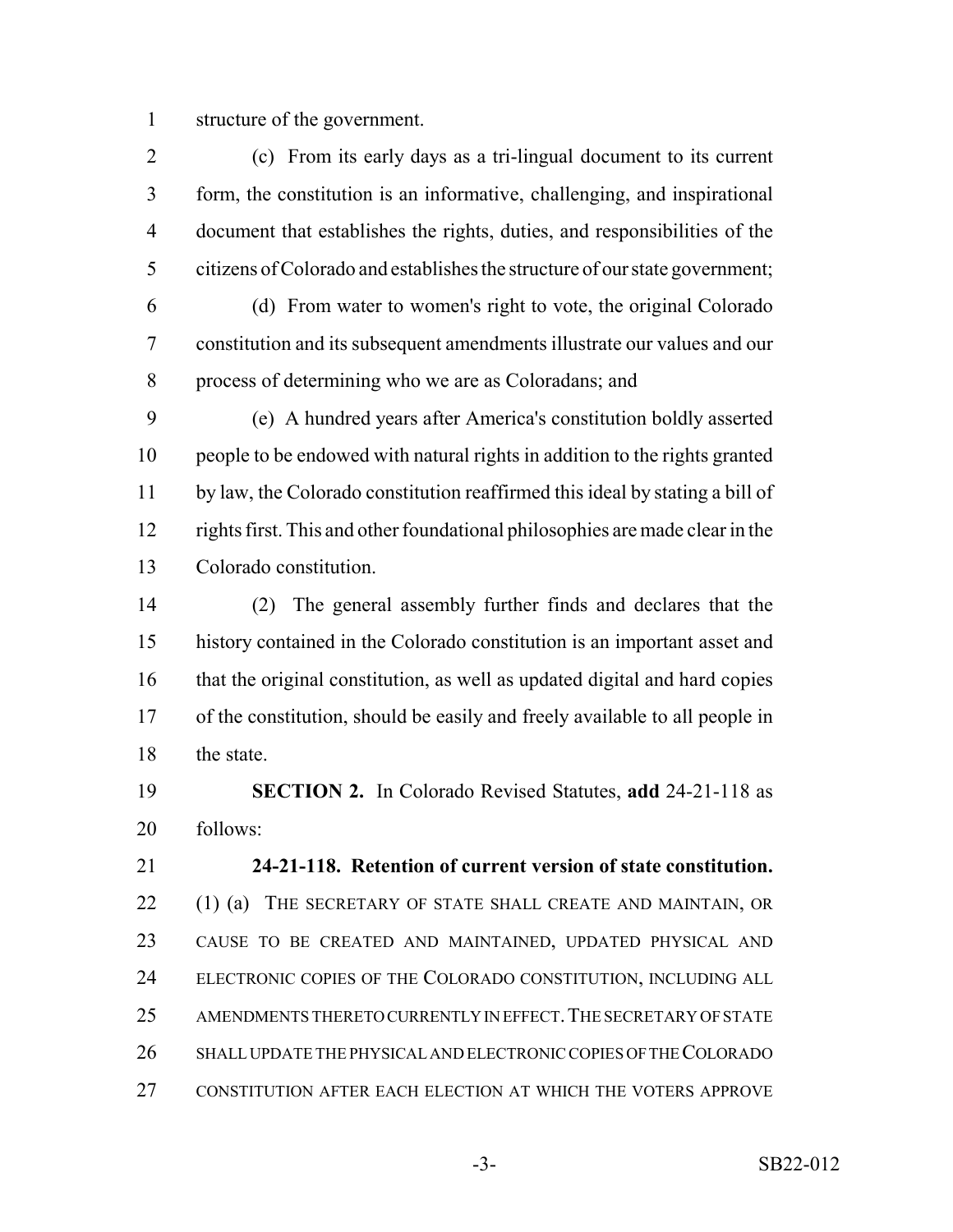structure of the government.

 (c) From its early days as a tri-lingual document to its current form, the constitution is an informative, challenging, and inspirational document that establishes the rights, duties, and responsibilities of the citizens of Colorado and establishes the structure of our state government; (d) From water to women's right to vote, the original Colorado constitution and its subsequent amendments illustrate our values and our process of determining who we are as Coloradans; and

 (e) A hundred years after America's constitution boldly asserted people to be endowed with natural rights in addition to the rights granted by law, the Colorado constitution reaffirmed this ideal by stating a bill of rights first. This and other foundational philosophies are made clear in the Colorado constitution.

 (2) The general assembly further finds and declares that the history contained in the Colorado constitution is an important asset and that the original constitution, as well as updated digital and hard copies of the constitution, should be easily and freely available to all people in 18 the state.

 **SECTION 2.** In Colorado Revised Statutes, **add** 24-21-118 as follows:

 **24-21-118. Retention of current version of state constitution.** 22 (1) (a) THE SECRETARY OF STATE SHALL CREATE AND MAINTAIN, OR CAUSE TO BE CREATED AND MAINTAINED, UPDATED PHYSICAL AND ELECTRONIC COPIES OF THE COLORADO CONSTITUTION, INCLUDING ALL 25 AMENDMENTS THERETO CURRENTLY IN EFFECT. THE SECRETARY OF STATE SHALL UPDATE THE PHYSICAL AND ELECTRONIC COPIES OF THE COLORADO CONSTITUTION AFTER EACH ELECTION AT WHICH THE VOTERS APPROVE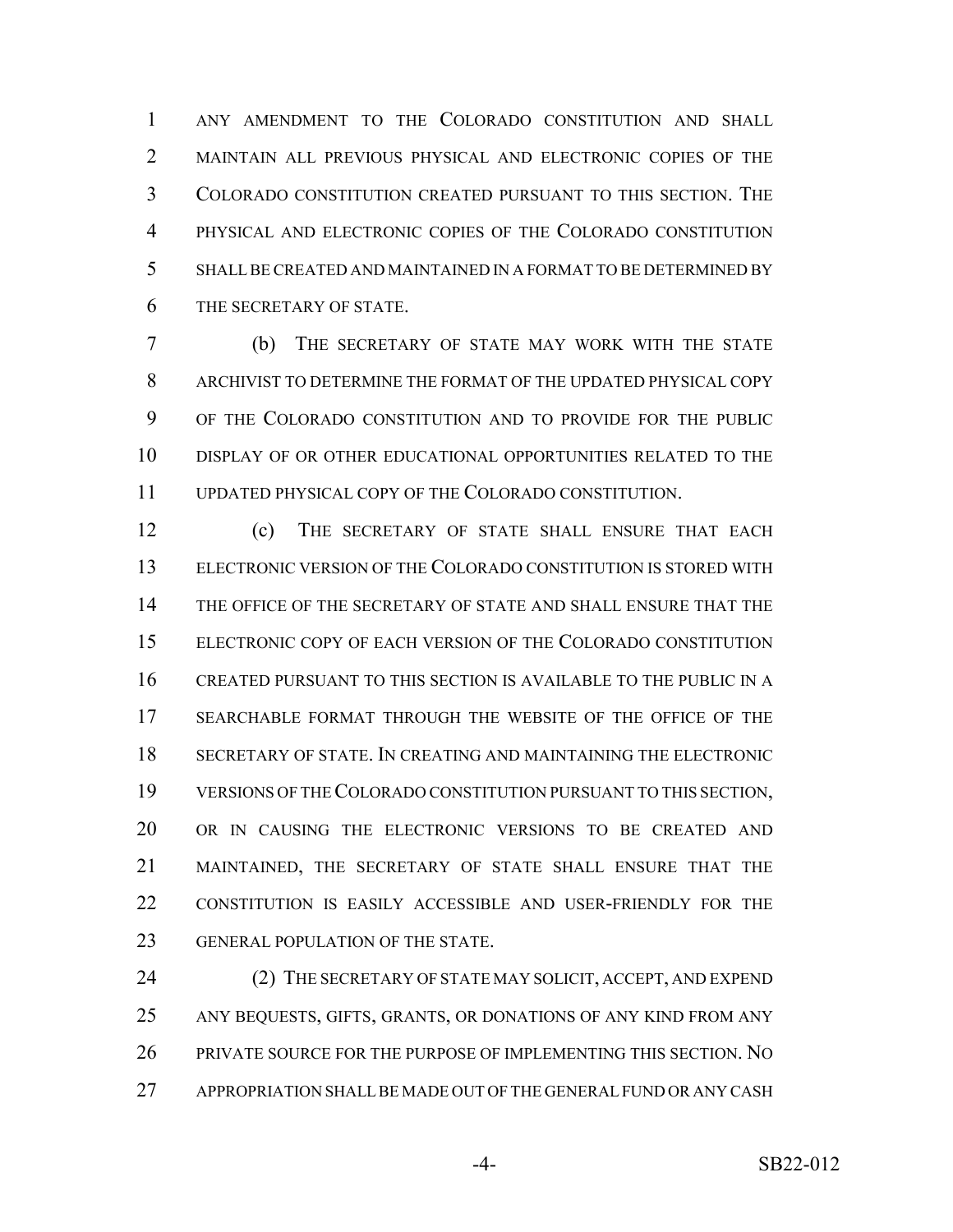ANY AMENDMENT TO THE COLORADO CONSTITUTION AND SHALL MAINTAIN ALL PREVIOUS PHYSICAL AND ELECTRONIC COPIES OF THE COLORADO CONSTITUTION CREATED PURSUANT TO THIS SECTION. THE PHYSICAL AND ELECTRONIC COPIES OF THE COLORADO CONSTITUTION SHALL BE CREATED AND MAINTAINED IN A FORMAT TO BE DETERMINED BY THE SECRETARY OF STATE.

 (b) THE SECRETARY OF STATE MAY WORK WITH THE STATE ARCHIVIST TO DETERMINE THE FORMAT OF THE UPDATED PHYSICAL COPY OF THE COLORADO CONSTITUTION AND TO PROVIDE FOR THE PUBLIC DISPLAY OF OR OTHER EDUCATIONAL OPPORTUNITIES RELATED TO THE UPDATED PHYSICAL COPY OF THE COLORADO CONSTITUTION.

 (c) THE SECRETARY OF STATE SHALL ENSURE THAT EACH ELECTRONIC VERSION OF THE COLORADO CONSTITUTION IS STORED WITH THE OFFICE OF THE SECRETARY OF STATE AND SHALL ENSURE THAT THE ELECTRONIC COPY OF EACH VERSION OF THE COLORADO CONSTITUTION CREATED PURSUANT TO THIS SECTION IS AVAILABLE TO THE PUBLIC IN A SEARCHABLE FORMAT THROUGH THE WEBSITE OF THE OFFICE OF THE SECRETARY OF STATE. IN CREATING AND MAINTAINING THE ELECTRONIC VERSIONS OF THE COLORADO CONSTITUTION PURSUANT TO THIS SECTION, OR IN CAUSING THE ELECTRONIC VERSIONS TO BE CREATED AND MAINTAINED, THE SECRETARY OF STATE SHALL ENSURE THAT THE CONSTITUTION IS EASILY ACCESSIBLE AND USER-FRIENDLY FOR THE 23 GENERAL POPULATION OF THE STATE.

24 (2) THE SECRETARY OF STATE MAY SOLICIT, ACCEPT, AND EXPEND ANY BEQUESTS, GIFTS, GRANTS, OR DONATIONS OF ANY KIND FROM ANY 26 PRIVATE SOURCE FOR THE PURPOSE OF IMPLEMENTING THIS SECTION. NO APPROPRIATION SHALL BE MADE OUT OF THE GENERAL FUND OR ANY CASH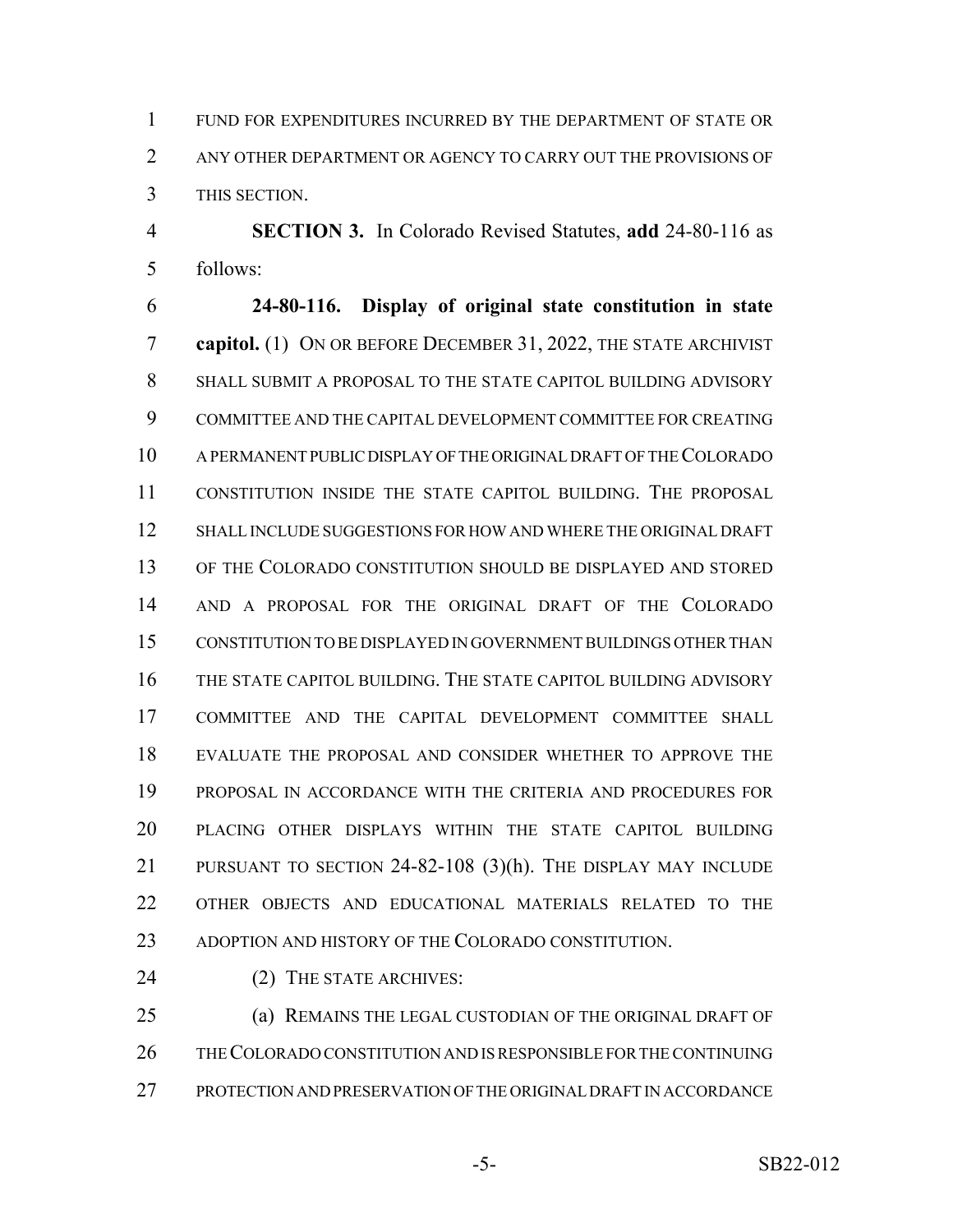FUND FOR EXPENDITURES INCURRED BY THE DEPARTMENT OF STATE OR ANY OTHER DEPARTMENT OR AGENCY TO CARRY OUT THE PROVISIONS OF THIS SECTION.

 **SECTION 3.** In Colorado Revised Statutes, **add** 24-80-116 as follows:

 **24-80-116. Display of original state constitution in state capitol.** (1) ON OR BEFORE DECEMBER 31, 2022, THE STATE ARCHIVIST SHALL SUBMIT A PROPOSAL TO THE STATE CAPITOL BUILDING ADVISORY COMMITTEE AND THE CAPITAL DEVELOPMENT COMMITTEE FOR CREATING A PERMANENT PUBLIC DISPLAY OF THE ORIGINAL DRAFT OF THE COLORADO CONSTITUTION INSIDE THE STATE CAPITOL BUILDING. THE PROPOSAL SHALL INCLUDE SUGGESTIONS FOR HOW AND WHERE THE ORIGINAL DRAFT OF THE COLORADO CONSTITUTION SHOULD BE DISPLAYED AND STORED AND A PROPOSAL FOR THE ORIGINAL DRAFT OF THE COLORADO CONSTITUTION TO BE DISPLAYED IN GOVERNMENT BUILDINGS OTHER THAN THE STATE CAPITOL BUILDING. THE STATE CAPITOL BUILDING ADVISORY COMMITTEE AND THE CAPITAL DEVELOPMENT COMMITTEE SHALL EVALUATE THE PROPOSAL AND CONSIDER WHETHER TO APPROVE THE PROPOSAL IN ACCORDANCE WITH THE CRITERIA AND PROCEDURES FOR PLACING OTHER DISPLAYS WITHIN THE STATE CAPITOL BUILDING PURSUANT TO SECTION 24-82-108 (3)(h). THE DISPLAY MAY INCLUDE OTHER OBJECTS AND EDUCATIONAL MATERIALS RELATED TO THE 23 ADOPTION AND HISTORY OF THE COLORADO CONSTITUTION.

(2) THE STATE ARCHIVES:

 (a) REMAINS THE LEGAL CUSTODIAN OF THE ORIGINAL DRAFT OF THE COLORADO CONSTITUTION AND IS RESPONSIBLE FOR THE CONTINUING PROTECTION AND PRESERVATION OF THE ORIGINAL DRAFT IN ACCORDANCE